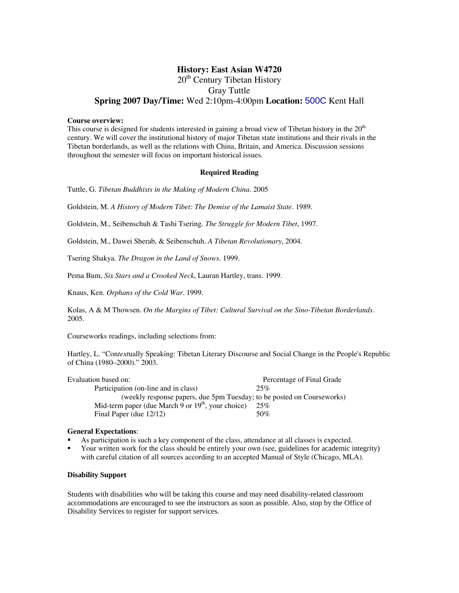### **History: East Asian W4720**  20<sup>th</sup> Century Tibetan History Gray Tuttle **Spring 2007 Day/Time:** Wed 2:10pm-4:00pm **Location:** 500C Kent Hall

#### **Course overview:**

This course is designed for students interested in gaining a broad view of Tibetan history in the  $20<sup>th</sup>$ century. We will cover the institutional history of major Tibetan state institutions and their rivals in the Tibetan borderlands, as well as the relations with China, Britain, and America. Discussion sessions throughout the semester will focus on important historical issues.

#### **Required Reading**

Tuttle, G. *Tibetan Buddhists in the Making of Modern China*. 2005

Goldstein, M. *A History of Modern Tibet: The Demise of the Lamaist State*. 1989.

Goldstein, M., Seibenschuh & Tashi Tsering. *The Struggle for Modern Tibet*, 1997.

Goldstein, M., Dawei Sherab, & Seibenschuh. *A Tibetan Revolutionary*, 2004.

Tsering Shakya. *The Dragon in the Land of Snows*. 1999.

Pema Bum, *Six Stars and a Crooked Neck*, Lauran Hartley, trans. 1999.

Knaus, Ken. *Orphans of the Cold War*. 1999.

Kolas, A & M Thowsen. *On the Margins of Tibet: Cultural Survival on the Sino-Tibetan Borderlands*. 2005.

Courseworks readings, including selections from:

Hartley, L. "Con*text*ually Speaking: Tibetan Literary Discourse and Social Change in the People's Republic of China (1980–2000)." 2003.

| Percentage of Final Grade                                              |
|------------------------------------------------------------------------|
| 25%                                                                    |
| (weekly response papers, due 5pm Tuesday; to be posted on Courseworks) |
| 25%                                                                    |
| 50%                                                                    |
|                                                                        |

#### **General Expectations**:

- As participation is such a key component of the class, attendance at all classes is expected.
- Your written work for the class should be entirely your own (see, guidelines for academic integrity) with careful citation of all sources according to an accepted Manual of Style (Chicago, MLA).

#### **Disability Support**

Students with disabilities who will be taking this course and may need disability-related classroom accommodations are encouraged to see the instructors as soon as possible. Also, stop by the Office of Disability Services to register for support services.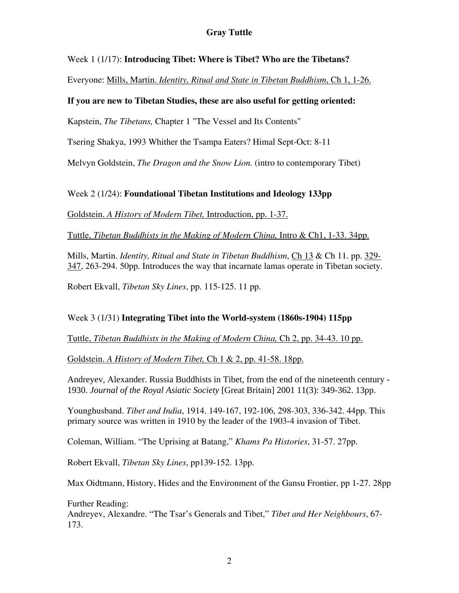## Week 1 (1/17): **Introducing Tibet: Where is Tibet? Who are the Tibetans?**

Everyone: Mills, Martin. *Identity, Ritual and State in Tibetan Buddhism*, Ch 1, 1-26.

## **If you are new to Tibetan Studies, these are also useful for getting oriented:**

Kapstein, *The Tibetans,* Chapter 1 "The Vessel and Its Contents"

Tsering Shakya, 1993 Whither the Tsampa Eaters? Himal Sept-Oct: 8-11

Melvyn Goldstein, *The Dragon and the Snow Lion.* (intro to contemporary Tibet)

# Week 2 (1/24): **Foundational Tibetan Institutions and Ideology 133pp**

Goldstein. *A History of Modern Tibet,* Introduction, pp. 1-37.

Tuttle, *Tibetan Buddhists in the Making of Modern China,* Intro & Ch1, 1-33. 34pp.

Mills, Martin. *Identity, Ritual and State in Tibetan Buddhism*, Ch 13 & Ch 11. pp. 329- 347, 263-294. 50pp. Introduces the way that incarnate lamas operate in Tibetan society.

Robert Ekvall, *Tibetan Sky Lines*, pp. 115-125. 11 pp.

# Week 3 (1/31) **Integrating Tibet into the World-system (1860s-1904) 115pp**

Tuttle, *Tibetan Buddhists in the Making of Modern China,* Ch 2, pp. 34-43. 10 pp.

Goldstein. *A History of Modern Tibet,* Ch 1 & 2, pp. 41-58. 18pp.

Andreyev, Alexander. Russia Buddhists in Tibet, from the end of the nineteenth century - 1930. *Journal of the Royal Asiatic Society* [Great Britain] 2001 11(3): 349-362. 13pp.

Younghusband. *Tibet and India*, 1914. 149-167, 192-106, 298-303, 336-342. 44pp. This primary source was written in 1910 by the leader of the 1903-4 invasion of Tibet.

Coleman, William. "The Uprising at Batang," *Khams Pa Histories*, 31-57. 27pp.

Robert Ekvall, *Tibetan Sky Lines*, pp139-152. 13pp.

Max Oidtmann, History, Hides and the Environment of the Gansu Frontier, pp 1-27. 28pp

Further Reading:

Andreyev, Alexandre. "The Tsar's Generals and Tibet," *Tibet and Her Neighbours*, 67- 173.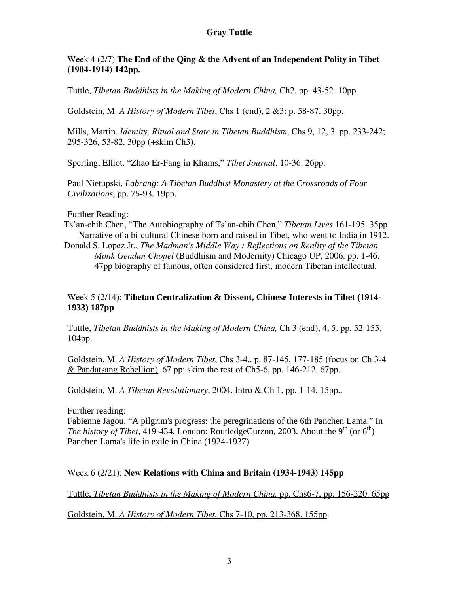### Week 4 (2/7) **The End of the Qing & the Advent of an Independent Polity in Tibet (1904-1914) 142pp.**

Tuttle, *Tibetan Buddhists in the Making of Modern China,* Ch2, pp. 43-52, 10pp.

Goldstein, M. *A History of Modern Tibet*, Chs 1 (end), 2 &3: p. 58-87. 30pp.

Mills, Martin. *Identity, Ritual and State in Tibetan Buddhism*, Chs 9, 12, 3. pp. 233-242; 295-326, 53-82. 30pp (+skim Ch3).

Sperling, Elliot. "Zhao Er-Fang in Khams," *Tibet Journal*. 10-36. 26pp.

Paul Nietupski. *Labrang: A Tibetan Buddhist Monastery at the Crossroads of Four Civilizations*, pp. 75-93. 19pp.

### Further Reading:

- Ts'an-chih Chen, "The Autobiography of Ts'an-chih Chen," *Tibetan Lives*.161-195. 35pp Narrative of a bi-cultural Chinese born and raised in Tibet, who went to India in 1912.
- [Donald S. Lopez Jr.](http://www.amazon.com/exec/obidos/search-handle-url/103-6494777-8950231?%5Fencoding=UTF8&search-type=ss&index=books&field-author=Donald%20S.%20Lopez%20Jr.), *The Madman's Middle Way : Reflections on Reality of the Tibetan Monk Gendun Chopel* (Buddhism and Modernity) Chicago UP, 2006. pp. 1-46. 47pp biography of famous, often considered first, modern Tibetan intellectual.

## Week 5 (2/14): **Tibetan Centralization & Dissent, Chinese Interests in Tibet (1914- 1933) 187pp**

Tuttle, *Tibetan Buddhists in the Making of Modern China,* Ch 3 (end), 4, 5. pp. 52-155, 104pp.

Goldstein, M. *A History of Modern Tibet*, Chs 3-4,. p. 87-145, 177-185 (focus on Ch 3-4 & Pandatsang Rebellion), 67 pp; skim the rest of Ch5-6, pp. 146-212, 67pp.

Goldstein, M. *A Tibetan Revolutionary*, 2004. Intro & Ch 1, pp. 1-14, 15pp..

Further reading:

Fabienne Jagou. "A pilgrim's progress: the peregrinations of the 6th Panchen Lama." In *The history of Tibet*, 419-434. London: RoutledgeCurzon, 2003. About the 9<sup>th</sup> (or  $6<sup>th</sup>$ ) Panchen Lama's life in exile in China (1924-1937)

## Week 6 (2/21): **New Relations with China and Britain (1934-1943) 145pp**

Tuttle, *Tibetan Buddhists in the Making of Modern China,* pp. Chs6-7, pp. 156-220. 65pp

Goldstein, M. *A History of Modern Tibet*, Chs 7-10, pp. 213-368. 155pp.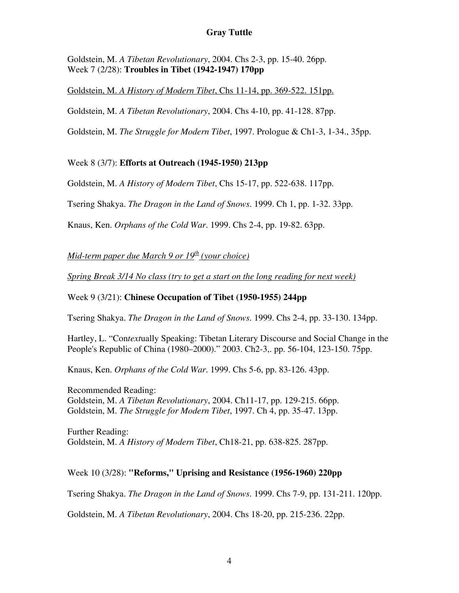Goldstein, M. *A Tibetan Revolutionary*, 2004. Chs 2-3, pp. 15-40. 26pp. Week 7 (2/28): **Troubles in Tibet (1942-1947) 170pp** 

Goldstein, M. *A History of Modern Tibet*, Chs 11-14, pp. 369-522. 151pp.

Goldstein, M. *A Tibetan Revolutionary*, 2004. Chs 4-10, pp. 41-128. 87pp.

Goldstein, M. *The Struggle for Modern Tibet*, 1997. Prologue & Ch1-3, 1-34., 35pp.

## Week 8 (3/7): **Efforts at Outreach (1945-1950) 213pp**

Goldstein, M. *A History of Modern Tibet*, Chs 15-17, pp. 522-638. 117pp.

Tsering Shakya. *The Dragon in the Land of Snows*. 1999. Ch 1, pp. 1-32. 33pp.

Knaus, Ken. *Orphans of the Cold War*. 1999. Chs 2-4, pp. 19-82. 63pp.

*Mid-term paper due March 9 or 19<sup>th</sup> (your choice)* 

*Spring Break 3/14 No class (try to get a start on the long reading for next week)*

#### Week 9 (3/21): **Chinese Occupation of Tibet (1950-1955) 244pp**

Tsering Shakya. *The Dragon in the Land of Snows*. 1999. Chs 2-4, pp. 33-130. 134pp.

Hartley, L. "Con*text*ually Speaking: Tibetan Literary Discourse and Social Change in the People's Republic of China (1980–2000)." 2003. Ch2-3,. pp. 56-104, 123-150. 75pp.

Knaus, Ken. *Orphans of the Cold War*. 1999. Chs 5-6, pp. 83-126. 43pp.

Recommended Reading: Goldstein, M. *A Tibetan Revolutionary*, 2004. Ch11-17, pp. 129-215. 66pp. Goldstein, M. *The Struggle for Modern Tibet*, 1997. Ch 4, pp. 35-47. 13pp.

Further Reading: Goldstein, M. *A History of Modern Tibet*, Ch18-21, pp. 638-825. 287pp.

#### Week 10 (3/28): **"Reforms," Uprising and Resistance (1956-1960) 220pp**

Tsering Shakya. *The Dragon in the Land of Snows*. 1999. Chs 7-9, pp. 131-211. 120pp.

Goldstein, M. *A Tibetan Revolutionary*, 2004. Chs 18-20, pp. 215-236. 22pp.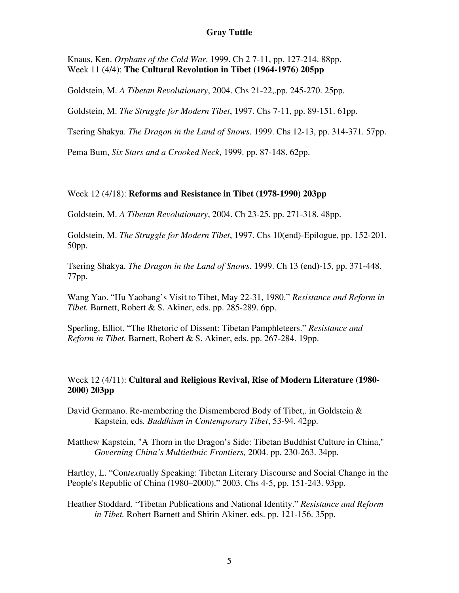Knaus, Ken. *Orphans of the Cold War*. 1999. Ch 2 7-11, pp. 127-214. 88pp. Week 11 (4/4): **The Cultural Revolution in Tibet (1964-1976) 205pp**

Goldstein, M. *A Tibetan Revolutionary*, 2004. Chs 21-22,.pp. 245-270. 25pp.

Goldstein, M. *The Struggle for Modern Tibet*, 1997. Chs 7-11, pp. 89-151. 61pp.

Tsering Shakya. *The Dragon in the Land of Snows*. 1999. Chs 12-13, pp. 314-371. 57pp.

Pema Bum, *Six Stars and a Crooked Neck*, 1999. pp. 87-148. 62pp.

### Week 12 (4/18): **Reforms and Resistance in Tibet (1978-1990) 203pp**

Goldstein, M. *A Tibetan Revolutionary*, 2004. Ch 23-25, pp. 271-318. 48pp.

Goldstein, M. *The Struggle for Modern Tibet*, 1997. Chs 10(end)-Epilogue, pp. 152-201. 50pp.

Tsering Shakya. *The Dragon in the Land of Snows*. 1999. Ch 13 (end)-15, pp. 371-448. 77pp.

Wang Yao. "Hu Yaobang's Visit to Tibet, May 22-31, 1980." *Resistance and Reform in Tibet.* Barnett, Robert & S. Akiner, eds. pp. 285-289. 6pp.

Sperling, Elliot. "The Rhetoric of Dissent: Tibetan Pamphleteers." *Resistance and Reform in Tibet.* Barnett, Robert & S. Akiner, eds. pp. 267-284. 19pp.

### Week 12 (4/11): **Cultural and Religious Revival, Rise of Modern Literature (1980- 2000) 203pp**

David Germano. Re-membering the Dismembered Body of Tibet,. in Goldstein & Kapstein*,* eds*. Buddhism in Contemporary Tibet*, 53-94. 42pp.

Matthew Kapstein, "A Thorn in the Dragon's Side: Tibetan Buddhist Culture in China," *Governing China's Multiethnic Frontiers,* 2004. pp. 230-263. 34pp.

Hartley, L. "Con*text*ually Speaking: Tibetan Literary Discourse and Social Change in the People's Republic of China (1980–2000)." 2003. Chs 4-5, pp. 151-243. 93pp.

Heather Stoddard. "Tibetan Publications and National Identity." *Resistance and Reform in Tibet.* Robert Barnett and Shirin Akiner, eds. pp. 121-156. 35pp.